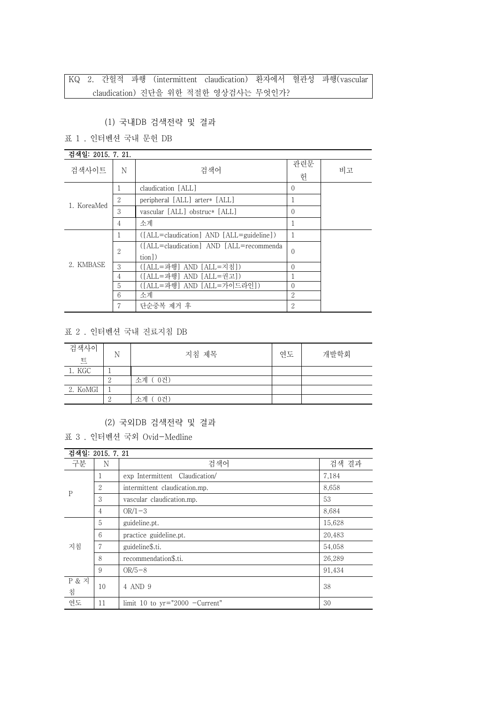#### (1) 국내DB 검색전략 및 결과

# 표 1 . 인터벤션 국내 문헌 DB

| 검색일: 2015. 7. 21. |   |                                                   |          |    |
|-------------------|---|---------------------------------------------------|----------|----|
| 검색사이트             | N | 검색어                                               | 관련문<br>헌 | 비고 |
|                   |   | claudication [ALL]                                | $\theta$ |    |
| 1. KoreaMed       | 2 | peripheral [ALL] arter* [ALL]                     |          |    |
|                   | 3 | vascular [ALL] obstruc* [ALL]                     | $\theta$ |    |
|                   | 4 | 소계                                                |          |    |
|                   |   | ([ALL=claudication] AND [ALL=guideline])          | 1        |    |
| 2. KMBASE         | 2 | ([ALL=claudication] AND [ALL=recommenda<br>tion]) | $\left($ |    |
|                   | 3 | ([ALL=파행] AND [ALL=지침])                           | $\Omega$ |    |
|                   | 4 | ([ALL=파행] AND [ALL=권고])                           |          |    |
|                   | 5 | ([ALL=파행] AND [ALL=가이드라인])                        | $\Omega$ |    |
|                   | 6 | 소계                                                | 2        |    |
|                   |   | 단순중복 제거 후                                         | 2        |    |

#### 표 2 . 인터벤션 국내 진료지침 DB

| 검색사이<br>트 | N | 지침 제목     | 연도 | 개발학회 |
|-----------|---|-----------|----|------|
| 1. KGC    |   |           |    |      |
|           |   | 소계 (0건)   |    |      |
| 2. KoMGI  |   |           |    |      |
|           |   | 0건)<br>수계 |    |      |

## (2) 국외DB 검색전략 및 결과

표 3 . 인터벤션 국외 Ovid-Medline

| 검색일: 2015, 7, 21      |                |                                  |        |
|-----------------------|----------------|----------------------------------|--------|
| 구분                    | N              | 검색어<br>검색 결과                     |        |
| $\mathbf{P}$          | 1              | exp Intermittent Claudication    | 7,184  |
|                       | 2              | intermittent claudication.mp.    | 8,658  |
|                       | 3              | vascular claudication.mp.        | 53     |
|                       | $\overline{4}$ | $OR/1-3$                         | 8,684  |
| 지침                    | 5              | guideline.pt.                    | 15,628 |
|                       | 6              | practice guideline.pt.           | 20,483 |
|                       | 7              | guideline\$.ti.                  | 54,058 |
|                       | 8              | recommendation\$.ti.             | 26,289 |
|                       | 9              | $OR/5-8$                         | 91,434 |
| <b>P &amp; 지</b><br>침 | 10             | 4 AND 9                          | 38     |
| 연도                    | 11             | limit 10 to $yr="2000 -Current"$ | 30     |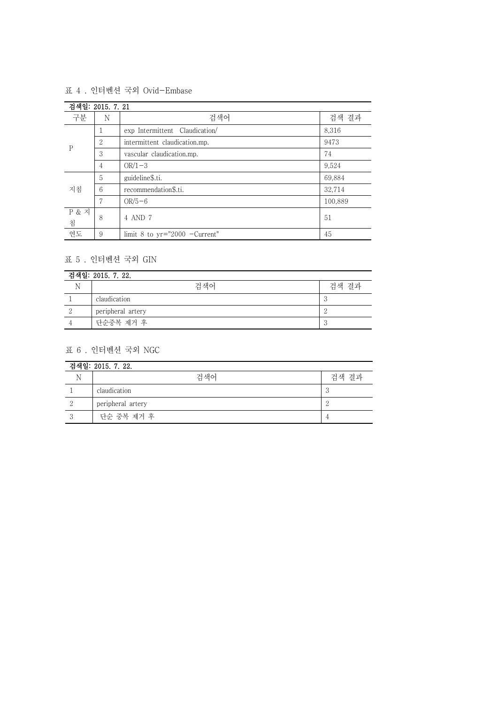#### 표 4 . 인터벤션 국외 Ovid-Embase

| 검색일: 2015. 7. 21 |                 |                                 |         |  |
|------------------|-----------------|---------------------------------|---------|--|
| 구분               | N               | 검색어<br>검색 결과                    |         |  |
| P                |                 | exp Intermittent Claudication/  | 8,316   |  |
|                  | 2               | intermittent claudication.mp.   | 9473    |  |
|                  | 3               | vascular claudication.mp.       | 74      |  |
|                  | $\overline{4}$  | $OR/1-3$                        | 9,524   |  |
| 지침               | 5               | guideline\$.ti.                 | 69,884  |  |
|                  | $6\overline{6}$ | recommendation\$.ti.            | 32,714  |  |
|                  | 7               | $OR/5-6$                        | 100,889 |  |
| P & 2<br>침       | 8               | 4 AND 7<br>51                   |         |  |
| 연도               | 9               | limit 8 to $yr="2000 -Current"$ | 45      |  |

# 표 5 . 인터벤션 국외 GIN

| 검색일: 2015. 7. 22. |                   |       |  |
|-------------------|-------------------|-------|--|
|                   | 검색어               | 검색 결과 |  |
|                   | claudication      |       |  |
|                   | peripheral artery |       |  |
|                   | 단순중복 제거 후         |       |  |

## 표 6 . 인터벤션 국외 NGC

| 검색일: 2015. 7. 22. |                   |       |  |
|-------------------|-------------------|-------|--|
|                   | 검색어               | 검색 결과 |  |
|                   | claudication      | - 1   |  |
|                   | peripheral artery | ∸     |  |
|                   | 단순 중복 제거 후        |       |  |